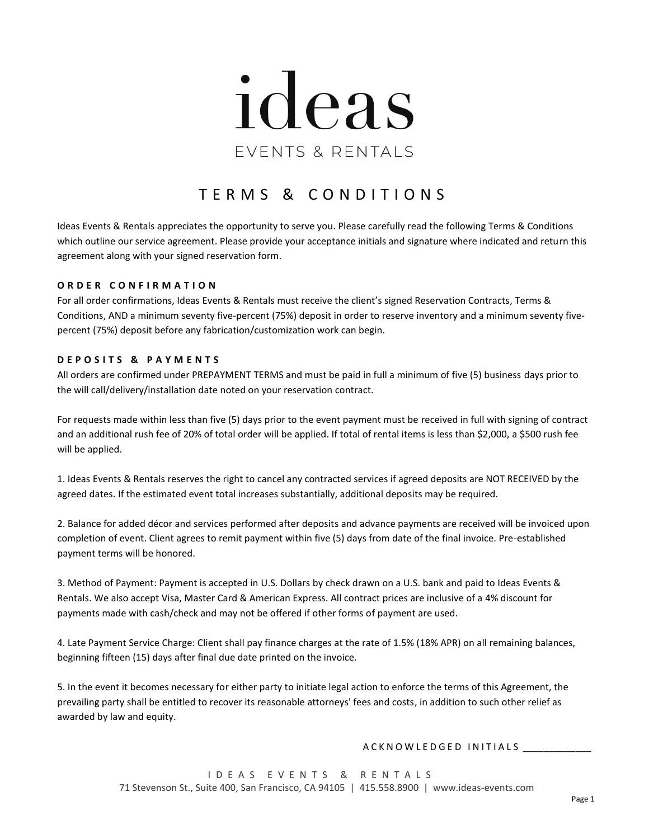

# T E R M S & C O N D I T I O N S

Ideas Events & Rentals appreciates the opportunity to serve you. Please carefully read the following Terms & Conditions which outline our service agreement. Please provide your acceptance initials and signature where indicated and return this agreement along with your signed reservation form.

#### **O R D E R C O N F I R M A T I O N**

For all order confirmations, Ideas Events & Rentals must receive the client's signed Reservation Contracts, Terms & Conditions, AND a minimum seventy five-percent (75%) deposit in order to reserve inventory and a minimum seventy fivepercent (75%) deposit before any fabrication/customization work can begin.

#### **D E P O S I T S & P A Y M E N T S**

All orders are confirmed under PREPAYMENT TERMS and must be paid in full a minimum of five (5) business days prior to the will call/delivery/installation date noted on your reservation contract.

For requests made within less than five (5) days prior to the event payment must be received in full with signing of contract and an additional rush fee of 20% of total order will be applied. If total of rental items is less than \$2,000, a \$500 rush fee will be applied.

1. Ideas Events & Rentals reserves the right to cancel any contracted services if agreed deposits are NOT RECEIVED by the agreed dates. If the estimated event total increases substantially, additional deposits may be required.

2. Balance for added décor and services performed after deposits and advance payments are received will be invoiced upon completion of event. Client agrees to remit payment within five (5) days from date of the final invoice. Pre-established payment terms will be honored.

3. Method of Payment: Payment is accepted in U.S. Dollars by check drawn on a U.S. bank and paid to Ideas Events & Rentals. We also accept Visa, Master Card & American Express. All contract prices are inclusive of a 4% discount for payments made with cash/check and may not be offered if other forms of payment are used.

4. Late Payment Service Charge: Client shall pay finance charges at the rate of 1.5% (18% APR) on all remaining balances, beginning fifteen (15) days after final due date printed on the invoice.

5. In the event it becomes necessary for either party to initiate legal action to enforce the terms of this Agreement, the prevailing party shall be entitled to recover its reasonable attorneys' fees and costs, in addition to such other relief as awarded by law and equity.

#### A C K N O W L E D G E D IN ITIALS

I D E A S E V E N T S & R E N T A L S 71 Stevenson St., Suite 400, San Francisco, CA 94105 | 415.558.8900 | www.ideas-events.com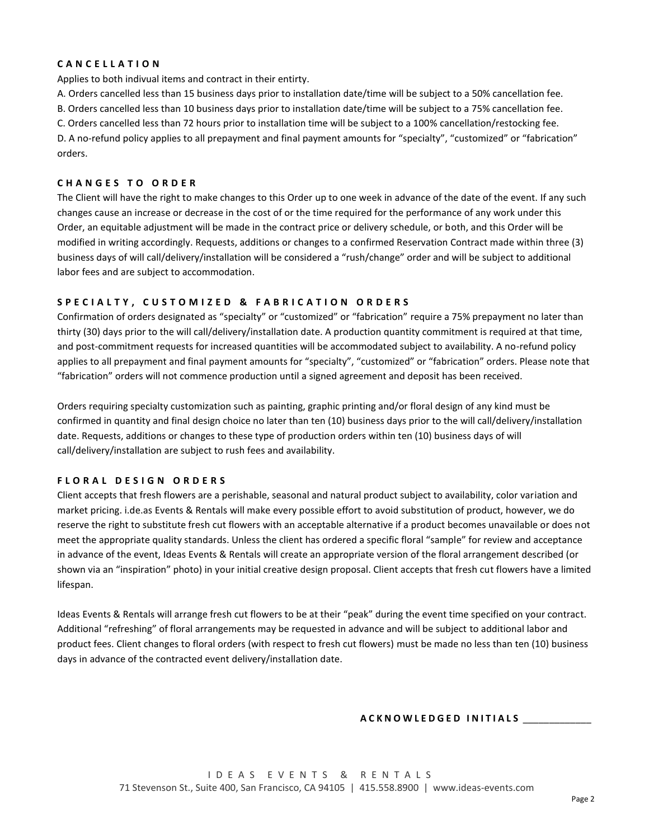# **C A N C E L L A T I O N**

Applies to both indivual items and contract in their entirty.

A. Orders cancelled less than 15 business days prior to installation date/time will be subject to a 50% cancellation fee.

B. Orders cancelled less than 10 business days prior to installation date/time will be subject to a 75% cancellation fee.

C. Orders cancelled less than 72 hours prior to installation time will be subject to a 100% cancellation/restocking fee. D. A no-refund policy applies to all prepayment and final payment amounts for "specialty", "customized" or "fabrication" orders.

## **C H A N G E S T O O R D E R**

The Client will have the right to make changes to this Order up to one week in advance of the date of the event. If any such changes cause an increase or decrease in the cost of or the time required for the performance of any work under this Order, an equitable adjustment will be made in the contract price or delivery schedule, or both, and this Order will be modified in writing accordingly. Requests, additions or changes to a confirmed Reservation Contract made within three (3) business days of will call/delivery/installation will be considered a "rush/change" order and will be subject to additional labor fees and are subject to accommodation.

# **S P E C I A L T Y , C U S T O M I Z E D & F A B R I C A T I O N O R D E R S**

Confirmation of orders designated as "specialty" or "customized" or "fabrication" require a 75% prepayment no later than thirty (30) days prior to the will call/delivery/installation date. A production quantity commitment is required at that time, and post-commitment requests for increased quantities will be accommodated subject to availability. A no-refund policy applies to all prepayment and final payment amounts for "specialty", "customized" or "fabrication" orders. Please note that "fabrication" orders will not commence production until a signed agreement and deposit has been received.

Orders requiring specialty customization such as painting, graphic printing and/or floral design of any kind must be confirmed in quantity and final design choice no later than ten (10) business days prior to the will call/delivery/installation date. Requests, additions or changes to these type of production orders within ten (10) business days of will call/delivery/installation are subject to rush fees and availability.

## **F L O R A L D E S I G N O R D E R S**

Client accepts that fresh flowers are a perishable, seasonal and natural product subject to availability, color variation and market pricing. i.de.as Events & Rentals will make every possible effort to avoid substitution of product, however, we do reserve the right to substitute fresh cut flowers with an acceptable alternative if a product becomes unavailable or does not meet the appropriate quality standards. Unless the client has ordered a specific floral "sample" for review and acceptance in advance of the event, Ideas Events & Rentals will create an appropriate version of the floral arrangement described (or shown via an "inspiration" photo) in your initial creative design proposal. Client accepts that fresh cut flowers have a limited lifespan.

Ideas Events & Rentals will arrange fresh cut flowers to be at their "peak" during the event time specified on your contract. Additional "refreshing" of floral arrangements may be requested in advance and will be subject to additional labor and product fees. Client changes to floral orders (with respect to fresh cut flowers) must be made no less than ten (10) business days in advance of the contracted event delivery/installation date.

## **A C K N O W L E D G E D I N I T I A L S** \_\_\_\_\_\_\_\_\_\_\_\_\_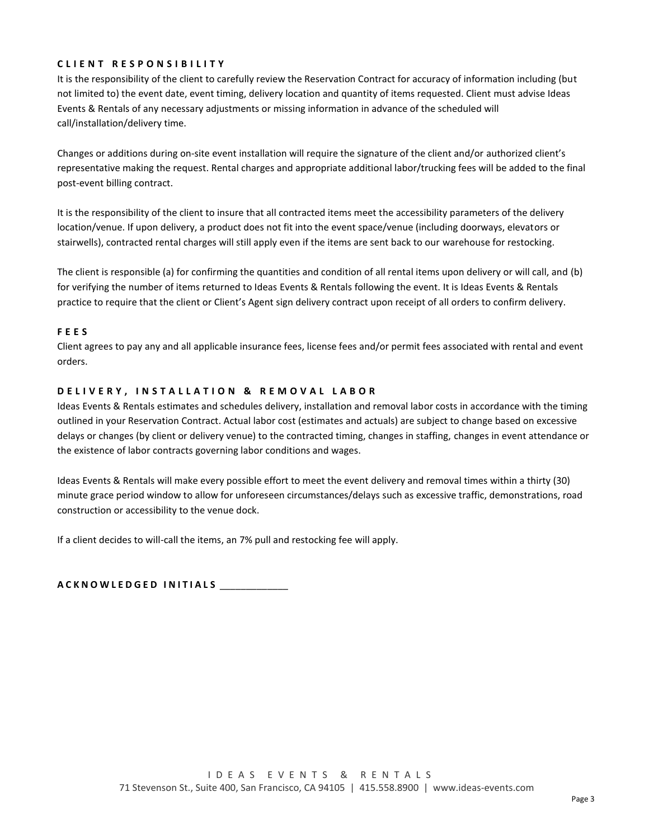# **C L I E N T R E S P O N S I B I L I T Y**

It is the responsibility of the client to carefully review the Reservation Contract for accuracy of information including (but not limited to) the event date, event timing, delivery location and quantity of items requested. Client must advise Ideas Events & Rentals of any necessary adjustments or missing information in advance of the scheduled will call/installation/delivery time.

Changes or additions during on-site event installation will require the signature of the client and/or authorized client's representative making the request. Rental charges and appropriate additional labor/trucking fees will be added to the final post-event billing contract.

It is the responsibility of the client to insure that all contracted items meet the accessibility parameters of the delivery location/venue. If upon delivery, a product does not fit into the event space/venue (including doorways, elevators or stairwells), contracted rental charges will still apply even if the items are sent back to our warehouse for restocking.

The client is responsible (a) for confirming the quantities and condition of all rental items upon delivery or will call, and (b) for verifying the number of items returned to Ideas Events & Rentals following the event. It is Ideas Events & Rentals practice to require that the client or Client's Agent sign delivery contract upon receipt of all orders to confirm delivery.

## **F E E S**

Client agrees to pay any and all applicable insurance fees, license fees and/or permit fees associated with rental and event orders.

## **D E L I V E R Y , I N S T A L L A T I O N & R E M O V A L L A B O R**

Ideas Events & Rentals estimates and schedules delivery, installation and removal labor costs in accordance with the timing outlined in your Reservation Contract. Actual labor cost (estimates and actuals) are subject to change based on excessive delays or changes (by client or delivery venue) to the contracted timing, changes in staffing, changes in event attendance or the existence of labor contracts governing labor conditions and wages.

Ideas Events & Rentals will make every possible effort to meet the event delivery and removal times within a thirty (30) minute grace period window to allow for unforeseen circumstances/delays such as excessive traffic, demonstrations, road construction or accessibility to the venue dock.

If a client decides to will-call the items, an 7% pull and restocking fee will apply.

**A C K N O W L E D G E D I N I T I A L S** \_\_\_\_\_\_\_\_\_\_\_\_\_